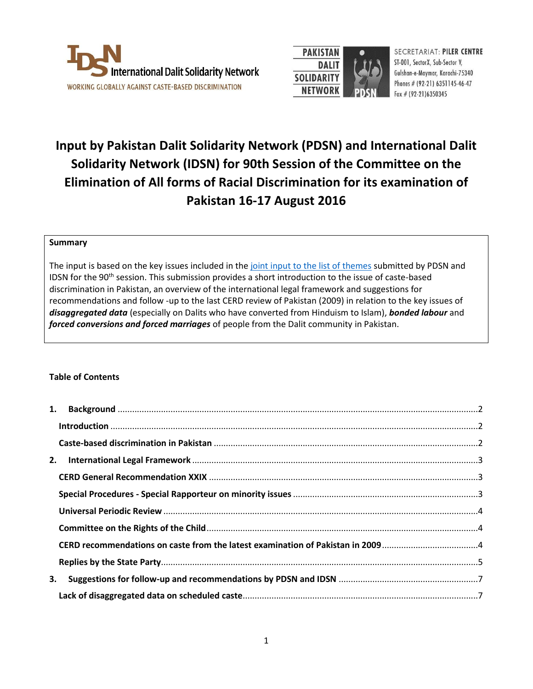



SECRETARIAT: PILER CENTRE ST-001, SectorX, Sub-Sector V, Gulshan-e-Maymar, Karachi-75340 Phones # (92-21) 6351145-46-47 Fax  $#$  (92-21)6350345

# **Input by Pakistan Dalit Solidarity Network (PDSN) and International Dalit Solidarity Network (IDSN) for 90th Session of the Committee on the Elimination of All forms of Racial Discrimination for its examination of Pakistan 16-17 August 2016**

## **Summary**

The input is based on the key issues included in the [joint input to the](http://idsn.org/wp-content/uploads/2016/06/Joint-input-List-of-Themes-CERD-Pakistan-2016.pdf) list of themes submitted by PDSN and IDSN for the 90<sup>th</sup> session. This submission provides a short introduction to the issue of caste-based discrimination in Pakistan, an overview of the international legal framework and suggestions for recommendations and follow -up to the last CERD review of Pakistan (2009) in relation to the key issues of *disaggregated data* (especially on Dalits who have converted from Hinduism to Islam), *bonded labour* and *forced conversions and forced marriages* of people from the Dalit community in Pakistan.

# **Table of Contents**

| 3. |  |
|----|--|
|    |  |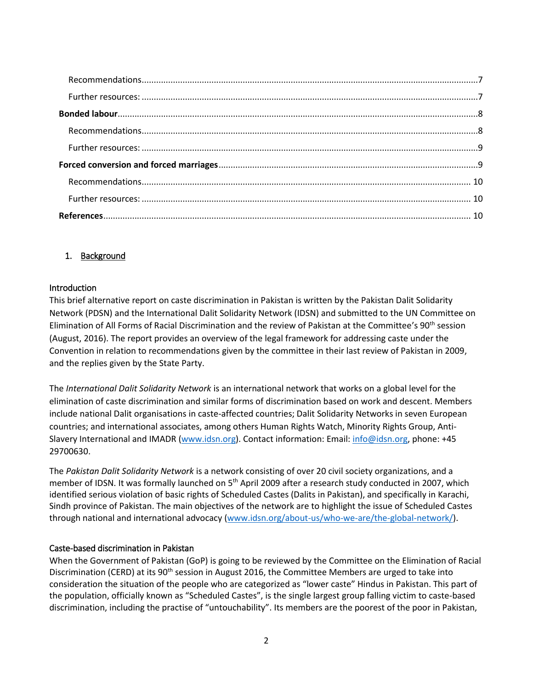# <span id="page-1-0"></span>1. Background

## <span id="page-1-1"></span>Introduction

This brief alternative report on caste discrimination in Pakistan is written by the Pakistan Dalit Solidarity Network (PDSN) and the International Dalit Solidarity Network (IDSN) and submitted to the UN Committee on Elimination of All Forms of Racial Discrimination and the review of Pakistan at the Committee's 90<sup>th</sup> session (August, 2016). The report provides an overview of the legal framework for addressing caste under the Convention in relation to recommendations given by the committee in their last review of Pakistan in 2009, and the replies given by the State Party.

The *International Dalit Solidarity Network* is an international network that works on a global level for the elimination of caste discrimination and similar forms of discrimination based on work and descent. Members include national Dalit organisations in caste-affected countries; Dalit Solidarity Networks in seven European countries; and international associates, among others Human Rights Watch, Minority Rights Group, Anti-Slavery International and IMADR [\(www.idsn.org\)](http://www.idsn.org/). Contact information: Email: [info@idsn.org,](mailto:info@idsn.org) phone: +45 29700630.

The *Pakistan Dalit Solidarity Network* is a network consisting of over 20 civil society organizations, and a member of IDSN. It was formally launched on 5<sup>th</sup> April 2009 after a research study conducted in 2007, which identified serious violation of basic rights of Scheduled Castes (Dalits in Pakistan), and specifically in Karachi, Sindh province of Pakistan. The main objectives of the network are to highlight the issue of Scheduled Castes through national and international advocacy [\(www.idsn.org/about-us/who-we-are/the-global-network/\)](http://www.idsn.org/about-us/who-we-are/the-global-network/).

## <span id="page-1-2"></span>Caste-based discrimination in Pakistan

When the Government of Pakistan (GoP) is going to be reviewed by the Committee on the Elimination of Racial Discrimination (CERD) at its 90<sup>th</sup> session in August 2016, the Committee Members are urged to take into consideration the situation of the people who are categorized as "lower caste" Hindus in Pakistan. This part of the population, officially known as "Scheduled Castes", is the single largest group falling victim to caste-based discrimination, including the practise of "untouchability". Its members are the poorest of the poor in Pakistan,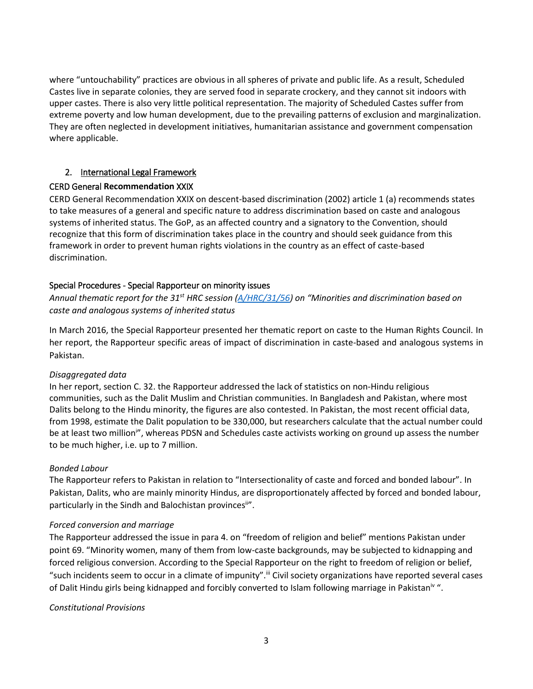where "untouchability" practices are obvious in all spheres of private and public life. As a result, Scheduled Castes live in separate colonies, they are served food in separate crockery, and they cannot sit indoors with upper castes. There is also very little political representation. The majority of Scheduled Castes suffer from extreme poverty and low human development, due to the prevailing patterns of exclusion and marginalization. They are often neglected in development initiatives, humanitarian assistance and government compensation where applicable.

# <span id="page-2-0"></span>2. International Legal Framework

## <span id="page-2-1"></span>CERD General **Recommendation** XXIX

CERD General Recommendation XXIX on descent-based discrimination (2002) article 1 (a) recommends states to take measures of a general and specific nature to address discrimination based on caste and analogous systems of inherited status. The GoP, as an affected country and a signatory to the Convention, should recognize that this form of discrimination takes place in the country and should seek guidance from this framework in order to prevent human rights violations in the country as an effect of caste-based discrimination.

## <span id="page-2-2"></span>Special Procedures - Special Rapporteur on minority issues

*Annual thematic report for the 31st HRC session [\(A/HRC/31/56\)](http://www.ohchr.org/EN/HRBodies/HRC/RegularSessions/Session31/Documents/A_HRC_31_56_en.doc) on "Minorities and discrimination based on caste and analogous systems of inherited status*

In March 2016, the Special Rapporteur presented her thematic report on caste to the Human Rights Council. In her report, the Rapporteur specific areas of impact of discrimination in caste-based and analogous systems in Pakistan.

## *Disaggregated data*

In her report, section C. 32. the Rapporteur addressed the lack of statistics on non-Hindu religious communities, such as the Dalit Muslim and Christian communities. In Bangladesh and Pakistan, where most Dalits belong to the Hindu minority, the figures are also contested. In Pakistan, the most recent official data, from 1998, estimate the Dalit population to be 330,000, but researchers calculate that the actual number could be at least two million<sup>i</sup>", whereas PDSN and Schedules caste activists working on ground up assess the number to be much higher, i.e. up to 7 million.

## *Bonded Labour*

The Rapporteur refers to Pakistan in relation to "Intersectionality of caste and forced and bonded labour". In Pakistan, Dalits, who are mainly minority Hindus, are disproportionately affected by forced and bonded labour, particularly in the Sindh and Balochistan provinces<sup>iin</sup>.

## *Forced conversion and marriage*

The Rapporteur addressed the issue in para 4. on "freedom of religion and belief" mentions Pakistan under point 69. "Minority women, many of them from low-caste backgrounds, may be subjected to kidnapping and forced religious conversion. According to the Special Rapporteur on the right to freedom of religion or belief, "such incidents seem to occur in a climate of impunity".<sup>iii</sup> Civil society organizations have reported several cases of Dalit Hindu girls being kidnapped and forcibly converted to Islam following marriage in Pakistan<sup>iv</sup>".

## *Constitutional Provisions*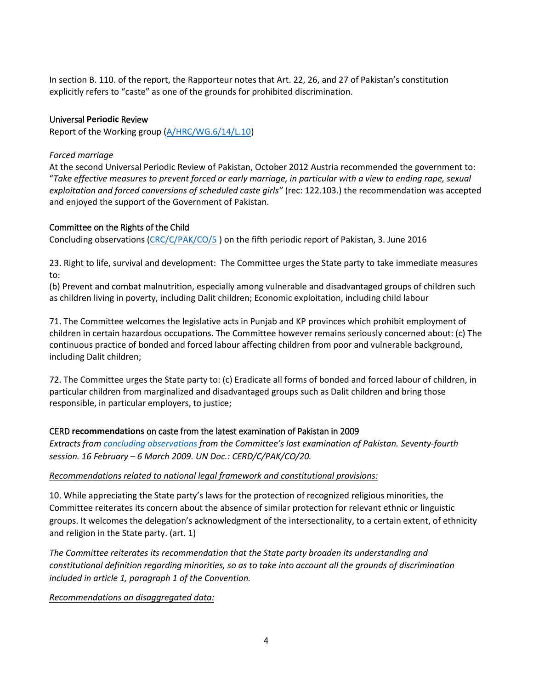In section B. 110. of the report, the Rapporteur notes that Art. 22, 26, and 27 of Pakistan's constitution explicitly refers to "caste" as one of the grounds for prohibited discrimination.

## <span id="page-3-0"></span>Universal **Periodic** Review

Report of the Working group [\(A/HRC/WG.6/14/L.10\)](http://lib.ohchr.org/HRBodies/UPR/Documents/Session14/PK/A_HRC_WG.6_14_L.10_Pakistan.doc)

## *Forced marriage*

At the second Universal Periodic Review of Pakistan, October 2012 Austria recommended the government to: "*Take effective measures to prevent forced or early marriage, in particular with a view to ending rape, sexual exploitation and forced conversions of scheduled caste girls"* (rec: 122.103.) the recommendation was accepted and enjoyed the support of the Government of Pakistan.

## <span id="page-3-1"></span>Committee on the Rights of the Child

Concluding observations [\(CRC/C/PAK/CO/5](http://tbinternet.ohchr.org/Treaties/CRC/Shared%20Documents/PAK/CRC_C_PAK_CO_5_24196_E.docx) ) on the fifth periodic report of Pakistan, 3. June 2016

23. Right to life, survival and development: The Committee urges the State party to take immediate measures to:

(b) Prevent and combat malnutrition, especially among vulnerable and disadvantaged groups of children such as children living in poverty, including Dalit children; Economic exploitation, including child labour

71. The Committee welcomes the legislative acts in Punjab and KP provinces which prohibit employment of children in certain hazardous occupations. The Committee however remains seriously concerned about: (c) The continuous practice of bonded and forced labour affecting children from poor and vulnerable background, including Dalit children;

72. The Committee urges the State party to: (c) Eradicate all forms of bonded and forced labour of children, in particular children from marginalized and disadvantaged groups such as Dalit children and bring those responsible, in particular employers, to justice;

# <span id="page-3-2"></span>CERD **recommendations** on caste from the latest examination of Pakistan in 2009

*Extracts from [concluding observations](http://docstore.ohchr.org/SelfServices/FilesHandler.ashx?enc=6QkG1d%2fPPRiCAqhKb7yhsrWoYjtM%2fV4TfMzF%2f0ZXE%2b4gWz0Z69r6JIfeTV3zpKQmkAHr9MZA0ORctmyroA5cne%2f78OTKDRMa%2bsuuX7rA9JH71jC96e0ugINu5JIToMbj) from the Committee's last examination of Pakistan. Seventy-fourth session. 16 February – 6 March 2009. UN Doc.: CERD/C/PAK/CO/20.*

## *Recommendations related to national legal framework and constitutional provisions:*

10. While appreciating the State party's laws for the protection of recognized religious minorities, the Committee reiterates its concern about the absence of similar protection for relevant ethnic or linguistic groups. It welcomes the delegation's acknowledgment of the intersectionality, to a certain extent, of ethnicity and religion in the State party. (art. 1)

*The Committee reiterates its recommendation that the State party broaden its understanding and constitutional definition regarding minorities, so as to take into account all the grounds of discrimination included in article 1, paragraph 1 of the Convention.* 

*Recommendations on disaggregated data:*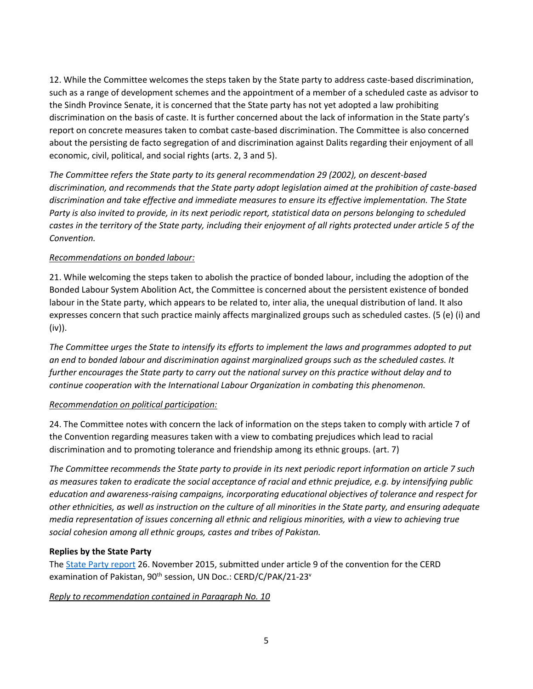12. While the Committee welcomes the steps taken by the State party to address caste-based discrimination, such as a range of development schemes and the appointment of a member of a scheduled caste as advisor to the Sindh Province Senate, it is concerned that the State party has not yet adopted a law prohibiting discrimination on the basis of caste. It is further concerned about the lack of information in the State party's report on concrete measures taken to combat caste-based discrimination. The Committee is also concerned about the persisting de facto segregation of and discrimination against Dalits regarding their enjoyment of all economic, civil, political, and social rights (arts. 2, 3 and 5).

*The Committee refers the State party to its general recommendation 29 (2002), on descent-based discrimination, and recommends that the State party adopt legislation aimed at the prohibition of caste-based discrimination and take effective and immediate measures to ensure its effective implementation. The State Party is also invited to provide, in its next periodic report, statistical data on persons belonging to scheduled*  castes in the territory of the State party, including their enjoyment of all rights protected under article 5 of the *Convention.* 

## *Recommendations on bonded labour:*

21. While welcoming the steps taken to abolish the practice of bonded labour, including the adoption of the Bonded Labour System Abolition Act, the Committee is concerned about the persistent existence of bonded labour in the State party, which appears to be related to, inter alia, the unequal distribution of land. It also expresses concern that such practice mainly affects marginalized groups such as scheduled castes. (5 (e) (i) and (iv)).

*The Committee urges the State to intensify its efforts to implement the laws and programmes adopted to put an end to bonded labour and discrimination against marginalized groups such as the scheduled castes. It further encourages the State party to carry out the national survey on this practice without delay and to continue cooperation with the International Labour Organization in combating this phenomenon.*

## *Recommendation on political participation:*

24. The Committee notes with concern the lack of information on the steps taken to comply with article 7 of the Convention regarding measures taken with a view to combating prejudices which lead to racial discrimination and to promoting tolerance and friendship among its ethnic groups. (art. 7)

*The Committee recommends the State party to provide in its next periodic report information on article 7 such as measures taken to eradicate the social acceptance of racial and ethnic prejudice, e.g. by intensifying public education and awareness-raising campaigns, incorporating educational objectives of tolerance and respect for other ethnicities, as well as instruction on the culture of all minorities in the State party, and ensuring adequate media representation of issues concerning all ethnic and religious minorities, with a view to achieving true social cohesion among all ethnic groups, castes and tribes of Pakistan.*

# <span id="page-4-0"></span>**Replies by the State Party**

The [State Party report](http://daccess-ods.un.org/access.nsf/Get?Open&DS=CERD/C/PAK/21-23&Lang=E) 26. November 2015, submitted under article 9 of the convention for the CERD examination of Pakistan, 90<sup>th</sup> session, UN Doc.: CERD/C/PAK/21-23<sup>v</sup>

*Reply to recommendation contained in Paragraph No. 10*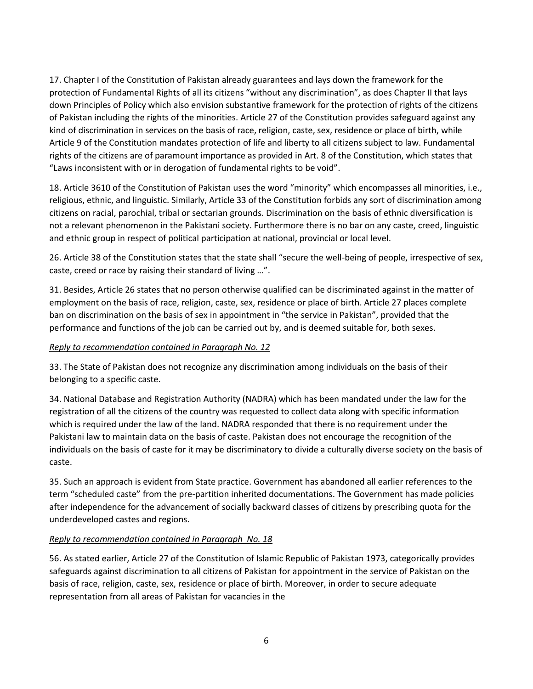17. Chapter I of the Constitution of Pakistan already guarantees and lays down the framework for the protection of Fundamental Rights of all its citizens "without any discrimination", as does Chapter II that lays down Principles of Policy which also envision substantive framework for the protection of rights of the citizens of Pakistan including the rights of the minorities. Article 27 of the Constitution provides safeguard against any kind of discrimination in services on the basis of race, religion, caste, sex, residence or place of birth, while Article 9 of the Constitution mandates protection of life and liberty to all citizens subject to law. Fundamental rights of the citizens are of paramount importance as provided in Art. 8 of the Constitution, which states that "Laws inconsistent with or in derogation of fundamental rights to be void".

18. Article 3610 of the Constitution of Pakistan uses the word "minority" which encompasses all minorities, i.e., religious, ethnic, and linguistic. Similarly, Article 33 of the Constitution forbids any sort of discrimination among citizens on racial, parochial, tribal or sectarian grounds. Discrimination on the basis of ethnic diversification is not a relevant phenomenon in the Pakistani society. Furthermore there is no bar on any caste, creed, linguistic and ethnic group in respect of political participation at national, provincial or local level.

26. Article 38 of the Constitution states that the state shall "secure the well-being of people, irrespective of sex, caste, creed or race by raising their standard of living …".

31. Besides, Article 26 states that no person otherwise qualified can be discriminated against in the matter of employment on the basis of race, religion, caste, sex, residence or place of birth. Article 27 places complete ban on discrimination on the basis of sex in appointment in "the service in Pakistan", provided that the performance and functions of the job can be carried out by, and is deemed suitable for, both sexes.

# *Reply to recommendation contained in Paragraph No. 12*

33. The State of Pakistan does not recognize any discrimination among individuals on the basis of their belonging to a specific caste.

34. National Database and Registration Authority (NADRA) which has been mandated under the law for the registration of all the citizens of the country was requested to collect data along with specific information which is required under the law of the land. NADRA responded that there is no requirement under the Pakistani law to maintain data on the basis of caste. Pakistan does not encourage the recognition of the individuals on the basis of caste for it may be discriminatory to divide a culturally diverse society on the basis of caste.

35. Such an approach is evident from State practice. Government has abandoned all earlier references to the term "scheduled caste" from the pre-partition inherited documentations. The Government has made policies after independence for the advancement of socially backward classes of citizens by prescribing quota for the underdeveloped castes and regions.

# *Reply to recommendation contained in Paragraph No. 18*

56. As stated earlier, Article 27 of the Constitution of Islamic Republic of Pakistan 1973, categorically provides safeguards against discrimination to all citizens of Pakistan for appointment in the service of Pakistan on the basis of race, religion, caste, sex, residence or place of birth. Moreover, in order to secure adequate representation from all areas of Pakistan for vacancies in the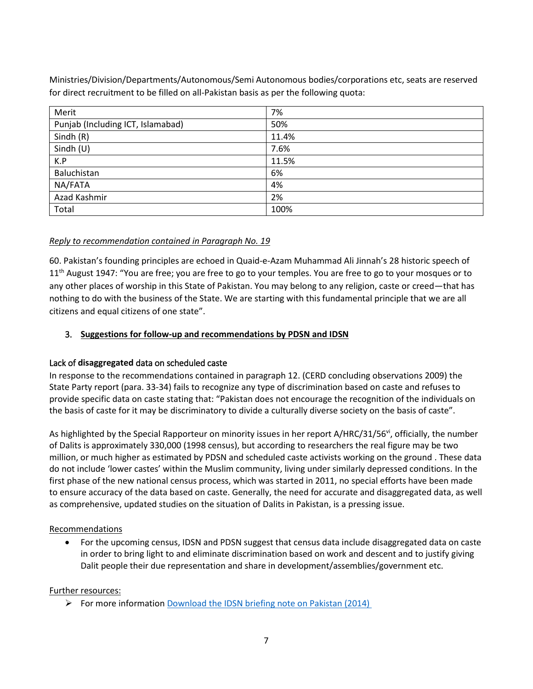Ministries/Division/Departments/Autonomous/Semi Autonomous bodies/corporations etc, seats are reserved for direct recruitment to be filled on all-Pakistan basis as per the following quota:

| Merit                             | 7%    |
|-----------------------------------|-------|
| Punjab (Including ICT, Islamabad) | 50%   |
| Sindh $(R)$                       | 11.4% |
| Sindh $(U)$                       | 7.6%  |
| K.P                               | 11.5% |
| Baluchistan                       | 6%    |
| NA/FATA                           | 4%    |
| Azad Kashmir                      | 2%    |
| Total                             | 100%  |

# *Reply to recommendation contained in Paragraph No. 19*

60. Pakistan's founding principles are echoed in Quaid-e-Azam Muhammad Ali Jinnah's 28 historic speech of 11<sup>th</sup> August 1947: "You are free; you are free to go to your temples. You are free to go to your mosques or to any other places of worship in this State of Pakistan. You may belong to any religion, caste or creed—that has nothing to do with the business of the State. We are starting with this fundamental principle that we are all citizens and equal citizens of one state".

## <span id="page-6-0"></span>3. **Suggestions for follow-up and recommendations by PDSN and IDSN**

## <span id="page-6-1"></span>Lack of **disaggregated** data on scheduled caste

In response to the recommendations contained in paragraph 12. (CERD concluding observations 2009) the State Party report (para. 33-34) fails to recognize any type of discrimination based on caste and refuses to provide specific data on caste stating that: "Pakistan does not encourage the recognition of the individuals on the basis of caste for it may be discriminatory to divide a culturally diverse society on the basis of caste".

As highlighted by the Special Rapporteur on minority issues in her report A/HRC/31/56<sup>vi</sup>, officially, the number of Dalits is approximately 330,000 (1998 census), but according to researchers the real figure may be two million, or much higher as estimated by PDSN and scheduled caste activists working on the ground . These data do not include 'lower castes' within the Muslim community, living under similarly depressed conditions. In the first phase of the new national census process, which was started in 2011, no special efforts have been made to ensure accuracy of the data based on caste. Generally, the need for accurate and disaggregated data, as well as comprehensive, updated studies on the situation of Dalits in Pakistan, is a pressing issue.

## <span id="page-6-2"></span>Recommendations

 For the upcoming census, IDSN and PDSN suggest that census data include disaggregated data on caste in order to bring light to and eliminate discrimination based on work and descent and to justify giving Dalit people their due representation and share in development/assemblies/government etc.

## <span id="page-6-3"></span>Further resources:

For more information [Download the IDSN briefing note on Pakistan \(2014\)](http://idsn.org/fileadmin/user_folder/pdf/New_files/Pakistan/Pakistan_briefing_note.pdf)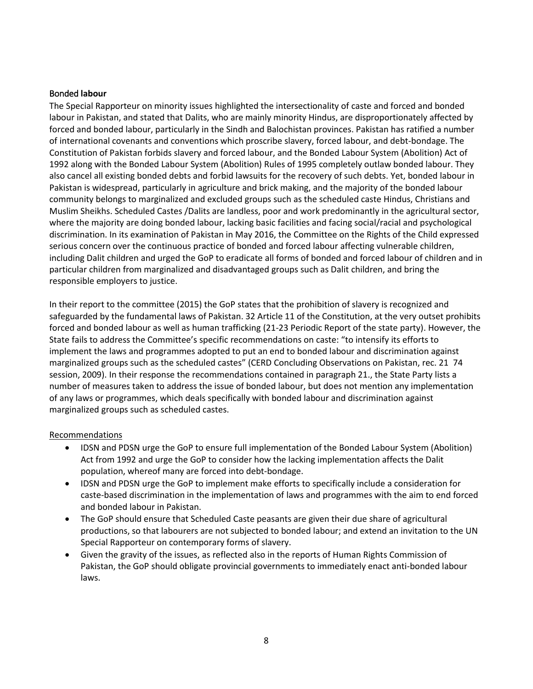## <span id="page-7-0"></span>Bonded **labour**

The Special Rapporteur on minority issues highlighted the intersectionality of caste and forced and bonded labour in Pakistan, and stated that Dalits, who are mainly minority Hindus, are disproportionately affected by forced and bonded labour, particularly in the Sindh and Balochistan provinces. Pakistan has ratified a number of international covenants and conventions which proscribe slavery, forced labour, and debt-bondage. The Constitution of Pakistan forbids slavery and forced labour, and the Bonded Labour System (Abolition) Act of 1992 along with the Bonded Labour System (Abolition) Rules of 1995 completely outlaw bonded labour. They also cancel all existing bonded debts and forbid lawsuits for the recovery of such debts. Yet, bonded labour in Pakistan is widespread, particularly in agriculture and brick making, and the majority of the bonded labour community belongs to marginalized and excluded groups such as the scheduled caste Hindus, Christians and Muslim Sheikhs. Scheduled Castes /Dalits are landless, poor and work predominantly in the agricultural sector, where the majority are doing bonded labour, lacking basic facilities and facing social/racial and psychological discrimination. In its examination of Pakistan in May 2016, the Committee on the Rights of the Child expressed serious concern over the continuous practice of bonded and forced labour affecting vulnerable children, including Dalit children and urged the GoP to eradicate all forms of bonded and forced labour of children and in particular children from marginalized and disadvantaged groups such as Dalit children, and bring the responsible employers to justice.

In their report to the committee (2015) the GoP states that the prohibition of slavery is recognized and safeguarded by the fundamental laws of Pakistan. 32 Article 11 of the Constitution, at the very outset prohibits forced and bonded labour as well as human trafficking (21-23 Periodic Report of the state party). However, the State fails to address the Committee's specific recommendations on caste: "to intensify its efforts to implement the laws and programmes adopted to put an end to bonded labour and discrimination against marginalized groups such as the scheduled castes" (CERD Concluding Observations on Pakistan, rec. 21 74 session, 2009). In their response the recommendations contained in paragraph 21., the State Party lists a number of measures taken to address the issue of bonded labour, but does not mention any implementation of any laws or programmes, which deals specifically with bonded labour and discrimination against marginalized groups such as scheduled castes.

## <span id="page-7-1"></span>Recommendations

- IDSN and PDSN urge the GoP to ensure full implementation of the Bonded Labour System (Abolition) Act from 1992 and urge the GoP to consider how the lacking implementation affects the Dalit population, whereof many are forced into debt-bondage.
- IDSN and PDSN urge the GoP to implement make efforts to specifically include a consideration for caste-based discrimination in the implementation of laws and programmes with the aim to end forced and bonded labour in Pakistan.
- The GoP should ensure that Scheduled Caste peasants are given their due share of agricultural productions, so that labourers are not subjected to bonded labour; and extend an invitation to the UN Special Rapporteur on contemporary forms of slavery.
- Given the gravity of the issues, as reflected also in the reports of Human Rights Commission of Pakistan, the GoP should obligate provincial governments to immediately enact anti-bonded labour laws.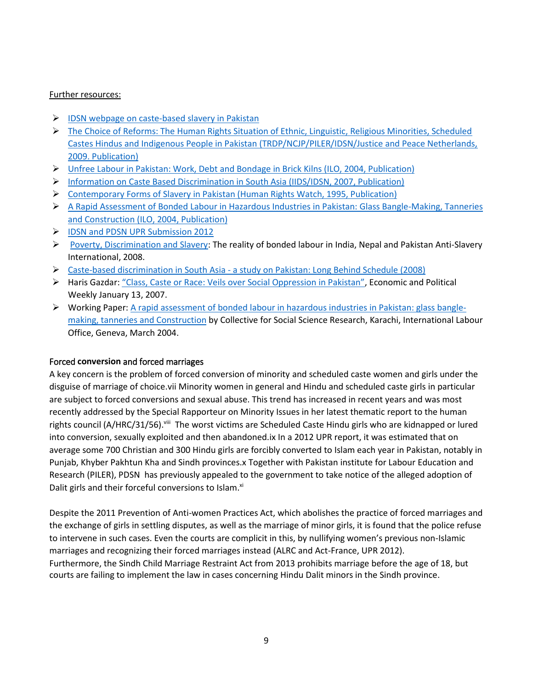## <span id="page-8-0"></span>Further resources:

- $\triangleright$  [IDSN webpage on caste-based slavery in Pakistan](http://idsn.org/key-issues/caste-based-slavery/caste-based-slavery-in-pakistan/)
- $\triangleright$  The Choice of Reforms: The Human Rights Situation of Ethnic, Linguistic, Religious Minorities, Scheduled [Castes Hindus and Indigenous People in Pakistan \(TRDP/NCJP/PILER/IDSN/Justice and Peace Netherlands,](http://idsn.org/fileadmin/user_folder/pdf/New_files/Key_Issues/Bonded_Labour/Alternative_report_TRDP_NCJP_PILER_IDSN_Justice_and_Peace_Netherlands.pdf)  [2009. Publication\)](http://idsn.org/fileadmin/user_folder/pdf/New_files/Key_Issues/Bonded_Labour/Alternative_report_TRDP_NCJP_PILER_IDSN_Justice_and_Peace_Netherlands.pdf)
- [Unfree Labour in Pakistan: Work, Debt and Bondage in Brick Kilns \(ILO, 2004, Publication\)](http://idsn.org/fileadmin/user_folder/pdf/New_files/Key_Issues/Bonded_Labour/2004_WP24_Unfree_labour_in_Pakistan.pdf)
- [Information on Caste Based Discrimination in South Asia \(IIDS/IDSN, 2007, Publication\)](http://idsn.org/fileadmin/user_folder/pdf/New_files/Key_Issues/Bonded_Labour/LongBehindSchedule.pdf)
- [Contemporary Forms of Slavery in Pakistan \(Human Rights Watch, 1995, Publication\)](http://idsn.org/fileadmin/user_folder/pdf/New_files/Key_Issues/Bonded_Labour/Slavery_Pakistan_HRW.pdf)
- [A Rapid Assessment of Bonded Labour in Hazardous Industries in Pakistan: Glass Bangle-Making, Tanneries](http://idsn.org/fileadmin/user_folder/pdf/New_files/Key_Issues/Bonded_Labour/2004_WP21_A_rapid_assessment_in_hazardous_industries.pdf)  [and Construction \(ILO, 2004, Publication\)](http://idsn.org/fileadmin/user_folder/pdf/New_files/Key_Issues/Bonded_Labour/2004_WP21_A_rapid_assessment_in_hazardous_industries.pdf)
- [IDSN and PDSN UPR Submission 2012](http://idsn.org/wp-content/uploads/user_folder/pdf/New_files/UN/UPR/FINAL_UPR_submission_Pakistan_-_PDSN_and_IDSN_-_April_2012.pdf)
- [Poverty, Discrimination and Slavery:](http://idsn.org/fileadmin/user_folder/pdf/New_files/Key_Issues/Bonded_Labour/povertydiscrimination_slavery_ASI.pdf) The reality of bonded labour in India, Nepal and Pakistan Anti-Slavery International, 2008.
- Caste-based discrimination in South Asia [a study on Pakistan: Long Behind Schedule \(2008\)](http://idsn.org/fileadmin/user_folder/pdf/Old_files/asia/pdf/RR_Pakistan.pdf)
- ▶ Haris Gazdar: ["Class, Caste or Race: Veils over Social Oppression in Pakistan"](http://www.researchcollective.org/Documents/Class_Caste_or_Race.pdf), Economic and Political Weekly January 13, 2007.
- $\triangleright$  Working Paper: [A rapid assessment of bonded labour in hazardous industries in Pakistan: glass bangle](http://idsn.org/fileadmin/user_folder/pdf/New_files/Key_Issues/Bonded_Labour/2004_WP21_A_rapid_assessment_in_hazardous_industries.pdf)[making, tanneries and Construction](http://idsn.org/fileadmin/user_folder/pdf/New_files/Key_Issues/Bonded_Labour/2004_WP21_A_rapid_assessment_in_hazardous_industries.pdf) by Collective for Social Science Research, Karachi, International Labour Office, Geneva, March 2004.

## <span id="page-8-1"></span>Forced **conversion** and forced marriages

A key concern is the problem of forced conversion of minority and scheduled caste women and girls under the disguise of marriage of choice.vii Minority women in general and Hindu and scheduled caste girls in particular are subject to forced conversions and sexual abuse. This trend has increased in recent years and was most recently addressed by the Special Rapporteur on Minority Issues in her latest thematic report to the human rights council (A/HRC/31/56).<sup>viii</sup> The worst victims are Scheduled Caste Hindu girls who are kidnapped or lured into conversion, sexually exploited and then abandoned.ix In a 2012 UPR report, it was estimated that on average some 700 Christian and 300 Hindu girls are forcibly converted to Islam each year in Pakistan, notably in Punjab, Khyber Pakhtun Kha and Sindh provinces.x Together with Pakistan institute for Labour Education and Research (PILER), PDSN has previously appealed to the government to take notice of the alleged adoption of Dalit girls and their forceful conversions to Islam.<sup>xi</sup>

Despite the 2011 Prevention of Anti-women Practices Act, which abolishes the practice of forced marriages and the exchange of girls in settling disputes, as well as the marriage of minor girls, it is found that the police refuse to intervene in such cases. Even the courts are complicit in this, by nullifying women's previous non-Islamic marriages and recognizing their forced marriages instead (ALRC and Act-France, UPR 2012). Furthermore, the Sindh Child Marriage Restraint Act from 2013 prohibits marriage before the age of 18, but courts are failing to implement the law in cases concerning Hindu Dalit minors in the Sindh province.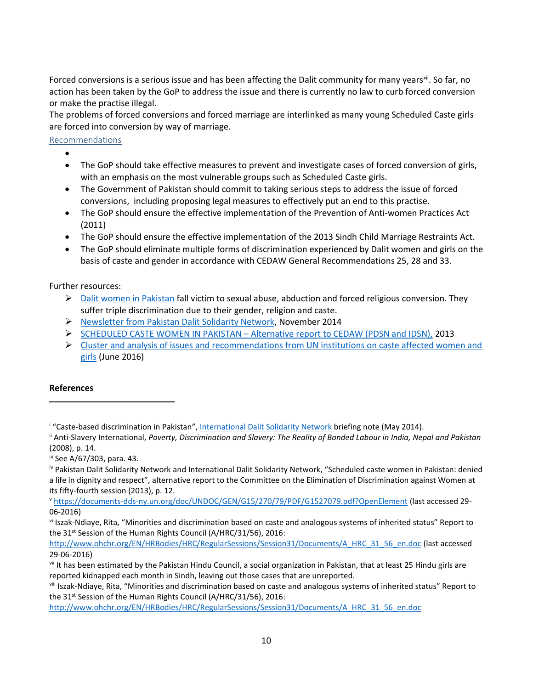Forced conversions is a serious issue and has been affecting the Dalit community for many years<sup>xii</sup>. So far, no action has been taken by the GoP to address the issue and there is currently no law to curb forced conversion or make the practise illegal.

The problems of forced conversions and forced marriage are interlinked as many young Scheduled Caste girls are forced into conversion by way of marriage.

## <span id="page-9-0"></span>Recommendations

- $\bullet$
- The GoP should take effective measures to prevent and investigate cases of forced conversion of girls, with an emphasis on the most vulnerable groups such as Scheduled Caste girls.
- The Government of Pakistan should commit to taking serious steps to address the issue of forced conversions, including proposing legal measures to effectively put an end to this practise.
- The GoP should ensure the effective implementation of the Prevention of Anti-women Practices Act (2011)
- The GoP should ensure the effective implementation of the 2013 Sindh Child Marriage Restraints Act.
- The GoP should eliminate multiple forms of discrimination experienced by Dalit women and girls on the basis of caste and gender in accordance with CEDAW General Recommendations 25, 28 and 33.

<span id="page-9-1"></span>Further resources:

- $\triangleright$  [Dalit women in Pakistan](http://idsn.org/key-issues/dalit-women/dalit-women-in-pakistan/) fall victim to sexual abuse, abduction and forced religious conversion. They suffer triple discrimination due to their gender, religion and caste.
- [Newsletter from Pakistan Dalit Solidarity Network,](http://www.idsn.org/fileadmin/user_folder/pdf/New_files/Pakistan/PDSN_Monthly_updates_-_November.pdf) November 2014
- SCHEDULED CASTE WOMEN IN PAKISTAN [Alternative report to CEDAW \(PDSN and IDSN\),](http://idsn.org/fileadmin/user_folder/pdf/New_files/Pakistan/SCHEDULED_CASTE_WOMEN_IN_PAKISTAN_-_Alternative_report_to_CEDAW_-_PDSN_and_IDSN_-_Jan_2013.pdf) 2013
- $\triangleright$  Cluster and analysis of issues and recommendations from UN institutions on caste affected women and [girls](http://idsn.org/wp-content/uploads/2016/06/Cluster-and-analysis-of-issues-and-recommendations-from-UN-institutions-on-women-and-caste-pdf-image.jpg) (June 2016)

# <span id="page-9-2"></span>**References**

 $\overline{\phantom{a}}$ 

iii See A/67/303, para. 43.

iv Pakistan Dalit Solidarity Network and International Dalit Solidarity Network, "Scheduled caste women in Pakistan: denied a life in dignity and respect", alternative report to the Committee on the Elimination of Discrimination against Women at its fifty-fourth session (2013), p. 12.

<sup>v</sup> <https://documents-dds-ny.un.org/doc/UNDOC/GEN/G15/270/79/PDF/G1527079.pdf?OpenElement> (last accessed 29- 06-2016)

vi Iszak-Ndiaye, Rita, "Minorities and discrimination based on caste and analogous systems of inherited status" Report to the 31<sup>st</sup> Session of the Human Rights Council (A/HRC/31/56), 2016:

[http://www.ohchr.org/EN/HRBodies/HRC/RegularSessions/Session31/Documents/A\\_HRC\\_31\\_56\\_en.doc](http://www.ohchr.org/EN/HRBodies/HRC/RegularSessions/Session31/Documents/A_HRC_31_56_en.doc) (last accessed 29-06-2016)

viii Iszak-Ndiaye, Rita, "Minorities and discrimination based on caste and analogous systems of inherited status" Report to the 31<sup>st</sup> Session of the Human Rights Council (A/HRC/31/56), 2016:

[http://www.ohchr.org/EN/HRBodies/HRC/RegularSessions/Session31/Documents/A\\_HRC\\_31\\_56\\_en.doc](http://www.ohchr.org/EN/HRBodies/HRC/RegularSessions/Session31/Documents/A_HRC_31_56_en.doc)

<sup>&</sup>lt;sup>i</sup> "Caste-based discrimination in Pakistan", International Dalit Solidarity Network briefing note (May 2014).

ii Anti-Slavery International, *Poverty, Discrimination and Slavery: The Reality of Bonded Labour in India, Nepal and Pakistan* (2008), p. 14.

vii It has been estimated by the Pakistan Hindu Council, a social organization in Pakistan, that at least 25 Hindu girls are reported kidnapped each month in Sindh, leaving out those cases that are unreported.